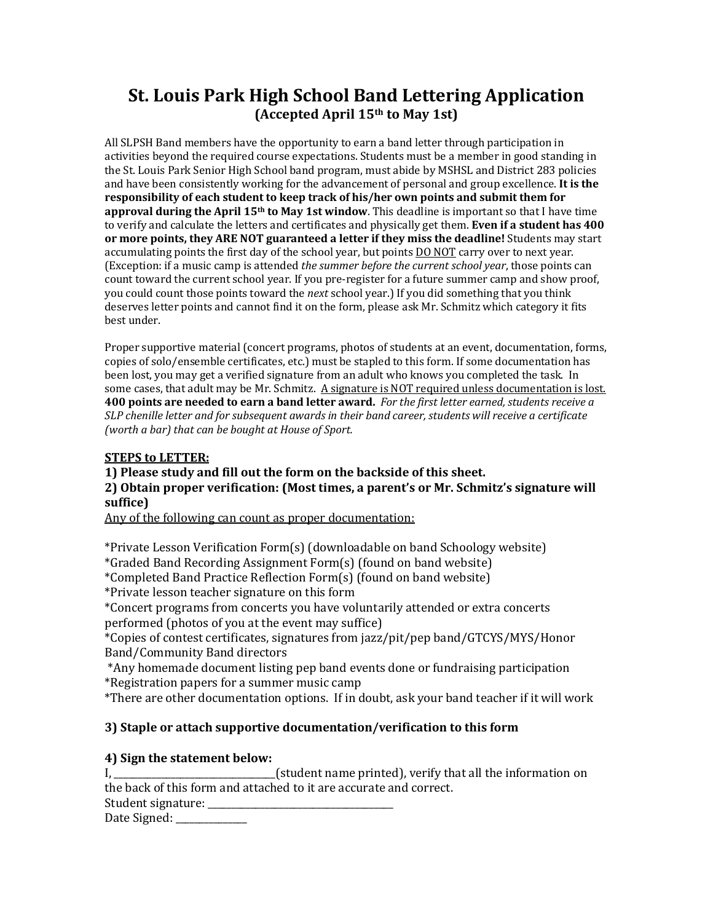# **St. Louis Park High School Band Lettering Application (Accepted April 15th to May 1st)**

All SLPSH Band members have the opportunity to earn a band letter through participation in activities beyond the required course expectations. Students must be a member in good standing in the St. Louis Park Senior High School band program, must abide by MSHSL and District 283 policies and have been consistently working for the advancement of personal and group excellence. It is the responsibility of each student to keep track of his/her own points and submit them for approval during the April 15<sup>th</sup> to May 1st window. This deadline is important so that I have time to verify and calculate the letters and certificates and physically get them. **Even if a student has 400** or more points, they ARE NOT guaranteed a letter if they miss the deadline! Students may start accumulating points the first day of the school year, but points DO NOT carry over to next year. (Exception: if a music camp is attended *the summer before the current school year*, those points can count toward the current school year. If you pre-register for a future summer camp and show proof, you could count those points toward the *next* school year.) If you did something that you think deserves letter points and cannot find it on the form, please ask Mr. Schmitz which category it fits best under.

Proper supportive material (concert programs, photos of students at an event, documentation, forms, copies of solo/ensemble certificates, etc.) must be stapled to this form. If some documentation has been lost, you may get a verified signature from an adult who knows you completed the task. In some cases, that adult may be Mr. Schmitz. A signature is NOT required unless documentation is lost. **400 points are needed to earn a band letter award.** For the first letter earned, students receive a SLP chenille letter and for subsequent awards in their band career, students will receive a certificate *(worth a bar)* that can be bought at House of Sport.

### **STEPS to LETTER:**

**1)** Please study and fill out the form on the backside of this sheet.

**2) Obtain proper verification: (Most times, a parent's or Mr. Schmitz's signature will suffice)**

Any of the following can count as proper documentation:

\*Private Lesson Verification Form(s) (downloadable on band Schoology website) \*Graded Band Recording Assignment Form(s) (found on band website)

\*Completed Band Practice Reflection Form(s) (found on band website)

\*Private lesson teacher signature on this form

\*Concert programs from concerts you have voluntarily attended or extra concerts performed (photos of you at the event may suffice)

\*Copies of contest certificates, signatures from jazz/pit/pep band/GTCYS/MYS/Honor Band/Community Band directors

\*Any homemade document listing pep band events done or fundraising participation \*Registration papers for a summer music camp

\*There are other documentation options. If in doubt, ask your band teacher if it will work

## **3)** Staple or attach supportive documentation/verification to this form

## **4)** Sign the statement below:

I, the same student name printed), verify that all the information on students on  $\mathbf{I}$ the back of this form and attached to it are accurate and correct. Student signature: Date Signed: \_\_\_\_\_\_\_\_\_\_\_\_\_\_\_\_